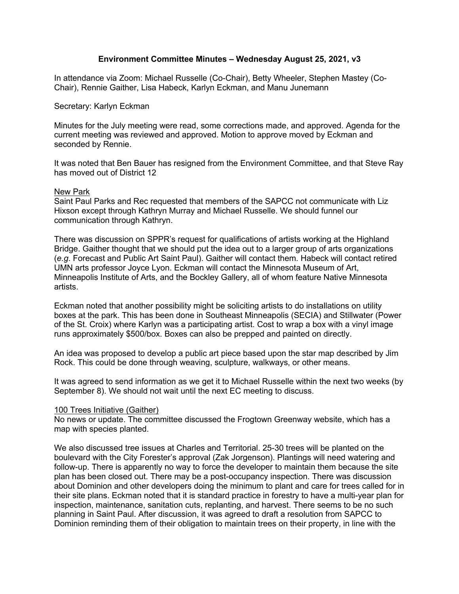# **Environment Committee Minutes – Wednesday August 25, 2021, v3**

In attendance via Zoom: Michael Russelle (Co-Chair), Betty Wheeler, Stephen Mastey (Co-Chair), Rennie Gaither, Lisa Habeck, Karlyn Eckman, and Manu Junemann

### Secretary: Karlyn Eckman

Minutes for the July meeting were read, some corrections made, and approved. Agenda for the current meeting was reviewed and approved. Motion to approve moved by Eckman and seconded by Rennie.

It was noted that Ben Bauer has resigned from the Environment Committee, and that Steve Ray has moved out of District 12

### New Park

Saint Paul Parks and Rec requested that members of the SAPCC not communicate with Liz Hixson except through Kathryn Murray and Michael Russelle. We should funnel our communication through Kathryn.

There was discussion on SPPR's request for qualifications of artists working at the Highland Bridge. Gaither thought that we should put the idea out to a larger group of arts organizations (*e.g*. Forecast and Public Art Saint Paul). Gaither will contact them. Habeck will contact retired UMN arts professor Joyce Lyon. Eckman will contact the Minnesota Museum of Art, Minneapolis Institute of Arts, and the Bockley Gallery, all of whom feature Native Minnesota artists.

Eckman noted that another possibility might be soliciting artists to do installations on utility boxes at the park. This has been done in Southeast Minneapolis (SECIA) and Stillwater (Power of the St. Croix) where Karlyn was a participating artist. Cost to wrap a box with a vinyl image runs approximately \$500/box. Boxes can also be prepped and painted on directly.

An idea was proposed to develop a public art piece based upon the star map described by Jim Rock. This could be done through weaving, sculpture, walkways, or other means.

It was agreed to send information as we get it to Michael Russelle within the next two weeks (by September 8). We should not wait until the next EC meeting to discuss.

#### 100 Trees Initiative (Gaither)

No news or update. The committee discussed the Frogtown Greenway website, which has a map with species planted.

We also discussed tree issues at Charles and Territorial. 25-30 trees will be planted on the boulevard with the City Forester's approval (Zak Jorgenson). Plantings will need watering and follow-up. There is apparently no way to force the developer to maintain them because the site plan has been closed out. There may be a post-occupancy inspection. There was discussion about Dominion and other developers doing the minimum to plant and care for trees called for in their site plans. Eckman noted that it is standard practice in forestry to have a multi-year plan for inspection, maintenance, sanitation cuts, replanting, and harvest. There seems to be no such planning in Saint Paul. After discussion, it was agreed to draft a resolution from SAPCC to Dominion reminding them of their obligation to maintain trees on their property, in line with the